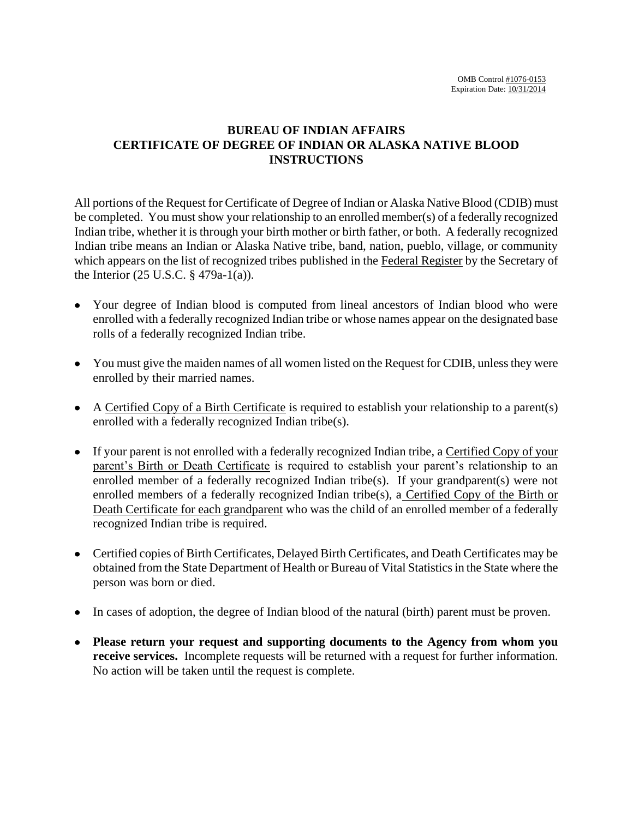# **BUREAU OF INDIAN AFFAIRS CERTIFICATE OF DEGREE OF INDIAN OR ALASKA NATIVE BLOOD INSTRUCTIONS**

All portions of the Request for Certificate of Degree of Indian or Alaska Native Blood (CDIB) must be completed. You must show your relationship to an enrolled member(s) of a federally recognized Indian tribe, whether it is through your birth mother or birth father, or both. A federally recognized Indian tribe means an Indian or Alaska Native tribe, band, nation, pueblo, village, or community which appears on the list of recognized tribes published in the Federal Register by the Secretary of the Interior (25 U.S.C. § 479a-1(a)).

- Your degree of Indian blood is computed from lineal ancestors of Indian blood who were enrolled with a federally recognized Indian tribe or whose names appear on the designated base rolls of a federally recognized Indian tribe.
- You must give the maiden names of all women listed on the Request for CDIB, unless they were enrolled by their married names.
- A Certified Copy of a Birth Certificate is required to establish your relationship to a parent(s) enrolled with a federally recognized Indian tribe(s).
- If your parent is not enrolled with a federally recognized Indian tribe, a Certified Copy of your parent's Birth or Death Certificate is required to establish your parent's relationship to an enrolled member of a federally recognized Indian tribe(s). If your grandparent(s) were not enrolled members of a federally recognized Indian tribe(s), a Certified Copy of the Birth or Death Certificate for each grandparent who was the child of an enrolled member of a federally recognized Indian tribe is required.
- Certified copies of Birth Certificates, Delayed Birth Certificates, and Death Certificates may be  $\bullet$ obtained from the State Department of Health or Bureau of Vital Statistics in the State where the person was born or died.
- In cases of adoption, the degree of Indian blood of the natural (birth) parent must be proven.
- **Please return your request and supporting documents to the Agency from whom you**   $\bullet$ **receive services.** Incomplete requests will be returned with a request for further information. No action will be taken until the request is complete.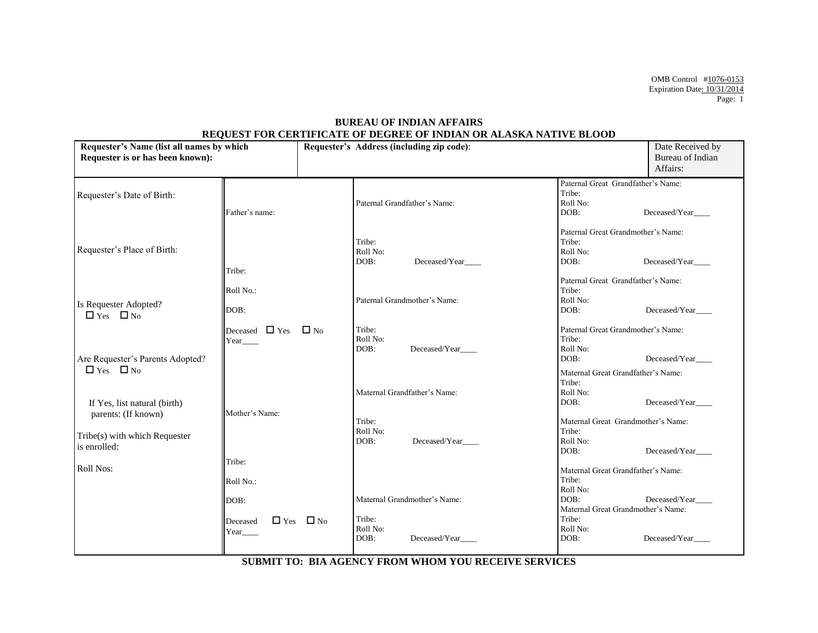OMB Control #1076-0153 Expiration Date: 10/31/2014 Page: 1

# **BUREAU OF INDIAN AFFAIRS REQUEST FOR CERTIFICATE OF DEGREE OF INDIAN OR ALASKA NATIVE BLOOD**

| Requester's Name (list all names by which                                   |                                           | Requester's Address (including zip code): |                                                 | Date Received by                                                 |                         |
|-----------------------------------------------------------------------------|-------------------------------------------|-------------------------------------------|-------------------------------------------------|------------------------------------------------------------------|-------------------------|
| Requester is or has been known):                                            |                                           |                                           |                                                 |                                                                  | <b>Bureau of Indian</b> |
|                                                                             |                                           |                                           |                                                 |                                                                  | Affairs:                |
| Requester's Date of Birth:                                                  | Father's name:                            |                                           | Paternal Grandfather's Name:                    | Paternal Great Grandfather's Name:<br>Tribe:<br>Roll No:<br>DOB: | Deceased/Year           |
| Requester's Place of Birth:                                                 | Tribe:                                    |                                           | Tribe:<br>Roll No:<br>DOB:<br>Deceased/Year     | Paternal Great Grandmother's Name:<br>Tribe:<br>Roll No:<br>DOB: | Deceased/Year           |
| Is Requester Adopted?<br>$\Box$ Yes $\Box$ No                               | Roll No.:<br>DOB:                         |                                           | Paternal Grandmother's Name:                    | Paternal Great Grandfather's Name:<br>Tribe:<br>Roll No:<br>DOB: | Deceased/Year           |
| Are Requester's Parents Adopted?                                            | Deceased $\Box$ Yes $\Box$ No<br>Year____ |                                           | Tribe:<br>Roll No:<br>DOB:<br>Deceased/Year     | Paternal Great Grandmother's Name:<br>Tribe:<br>Roll No:<br>DOB: | Deceased/Year           |
| $\Box$ Yes $\Box$ No<br>If Yes, list natural (birth)<br>parents: (If known) | Mother's Name:                            |                                           | Maternal Grandfather's Name:                    | Maternal Great Grandfather's Name:<br>Tribe:<br>Roll No:<br>DOB: | Deceased/Year           |
| Tribe(s) with which Requester<br>is enrolled:                               |                                           |                                           | Tribe:<br>Roll No:<br>DOB:<br>Deceased/Year____ | Maternal Great Grandmother's Name:<br>Tribe:<br>Roll No:<br>DOB: | Deceased/Year           |
| Roll Nos:                                                                   | Tribe:<br>Roll No.:                       |                                           |                                                 | Maternal Great Grandfather's Name:<br>Tribe:<br>Roll No:         |                         |
|                                                                             | DOB:<br>Deceased                          | $\Box$ Yes $\Box$ No                      | Maternal Grandmother's Name:<br>Tribe:          | DOB:<br>Maternal Great Grandmother's Name:<br>Tribe:             | Deceased/Year           |
|                                                                             | Year____                                  |                                           | Roll No:<br>Deceased/Year<br>DOB:               | Roll No:<br>DOB:                                                 | Deceased/Year           |

**SUBMIT TO: BIA AGENCY FROM WHOM YOU RECEIVE SERVICES**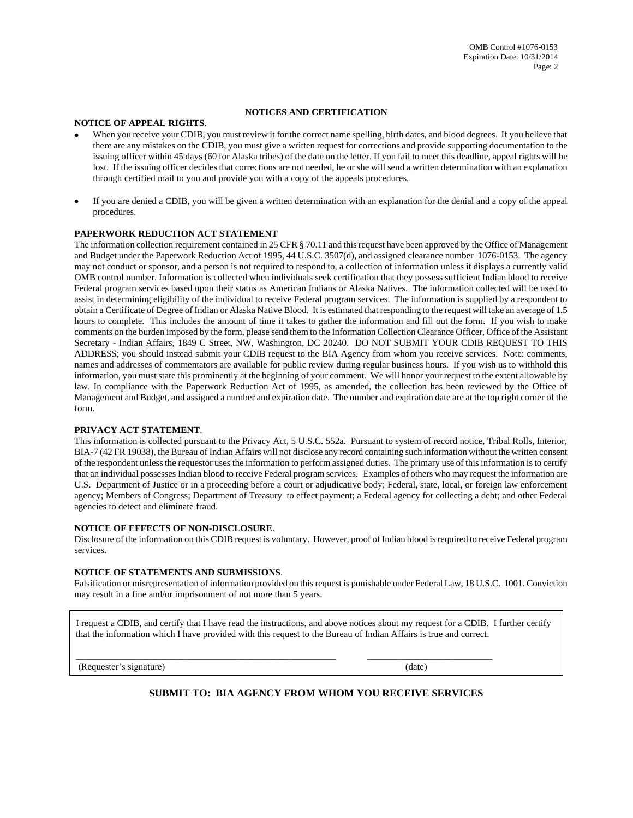### **NOTICES AND CERTIFICATION**

## **NOTICE OF APPEAL RIGHTS**.

- When you receive your CDIB, you must review it for the correct name spelling, birth dates, and blood degrees. If you believe that there are any mistakes on the CDIB, you must give a written request for corrections and provide supporting documentation to the issuing officer within 45 days (60 for Alaska tribes) of the date on the letter. If you fail to meet this deadline, appeal rights will be lost. If the issuing officer decides that corrections are not needed, he or she will send a written determination with an explanation through certified mail to you and provide you with a copy of the appeals procedures.
- If you are denied a CDIB, you will be given a written determination with an explanation for the denial and a copy of the appeal procedures.

## **PAPERWORK REDUCTION ACT STATEMENT**

The information collection requirement contained in 25 CFR § 70.11 and this request have been approved by the Office of Management and Budget under the Paperwork Reduction Act of 1995, 44 U.S.C. 3507(d), and assigned clearance number 1076-0153. The agency may not conduct or sponsor, and a person is not required to respond to, a collection of information unless it displays a currently valid OMB control number. Information is collected when individuals seek certification that they possess sufficient Indian blood to receive Federal program services based upon their status as American Indians or Alaska Natives. The information collected will be used to assist in determining eligibility of the individual to receive Federal program services. The information is supplied by a respondent to obtain a Certificate of Degree of Indian or Alaska Native Blood. It is estimated that responding to the request will take an average of 1.5 hours to complete. This includes the amount of time it takes to gather the information and fill out the form. If you wish to make comments on the burden imposed by the form, please send them to the Information Collection Clearance Officer, Office of the Assistant Secretary - Indian Affairs, 1849 C Street, NW, Washington, DC 20240. DO NOT SUBMIT YOUR CDIB REQUEST TO THIS ADDRESS; you should instead submit your CDIB request to the BIA Agency from whom you receive services. Note: comments, names and addresses of commentators are available for public review during regular business hours. If you wish us to withhold this information, you must state this prominently at the beginning of your comment. We will honor your request to the extent allowable by law. In compliance with the Paperwork Reduction Act of 1995, as amended, the collection has been reviewed by the Office of Management and Budget, and assigned a number and expiration date. The number and expiration date are at the top right corner of the form.

#### **PRIVACY ACT STATEMENT**.

This information is collected pursuant to the Privacy Act, 5 U.S.C. 552a. Pursuant to system of record notice, Tribal Rolls, Interior, BIA-7 (42 FR 19038), the Bureau of Indian Affairs will not disclose any record containing such information without the written consent of the respondent unless the requestor uses the information to perform assigned duties. The primary use of this information is to certify that an individual possesses Indian blood to receive Federal program services. Examples of others who may request the information are U.S. Department of Justice or in a proceeding before a court or adjudicative body; Federal, state, local, or foreign law enforcement agency; Members of Congress; Department of Treasury to effect payment; a Federal agency for collecting a debt; and other Federal agencies to detect and eliminate fraud.

#### **NOTICE OF EFFECTS OF NON-DISCLOSURE**.

Disclosure of the information on this CDIB request is voluntary. However, proof of Indian blood is required to receive Federal program services.

#### **NOTICE OF STATEMENTS AND SUBMISSIONS**.

Falsification or misrepresentation of information provided on this request is punishable under Federal Law, 18 U.S.C. 1001. Conviction may result in a fine and/or imprisonment of not more than 5 years.

I request a CDIB, and certify that I have read the instructions, and above notices about my request for a CDIB. I further certify that the information which I have provided with this request to the Bureau of Indian Affairs is true and correct.

\_\_\_\_\_\_\_\_\_\_\_\_\_\_\_\_\_\_\_\_\_\_\_\_\_\_\_\_\_\_\_\_\_\_\_\_\_\_\_\_\_\_\_\_\_\_\_\_\_\_\_\_\_\_\_\_ \_\_\_\_\_\_\_\_\_\_\_\_\_\_\_\_\_\_\_\_\_\_\_\_\_\_\_

(Requester's signature) (date)

# **SUBMIT TO: BIA AGENCY FROM WHOM YOU RECEIVE SERVICES**